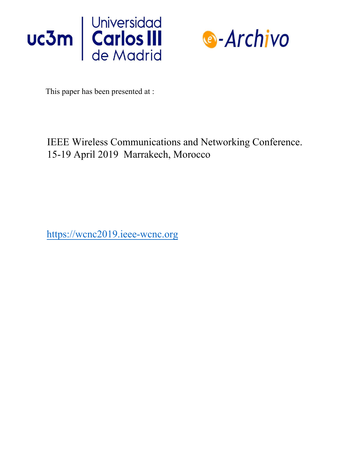



This paper has been presented at :

# IEEE Wireless Communications and Networking Conference. 15-19 April 2019 Marrakech, Morocco

https://wcnc2019.ieee-wcnc.org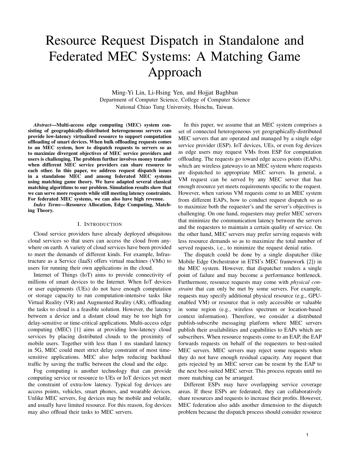# Resource Request Dispatch in Standalone and Federated MEC Systems: A Matching Game Approach

Ming-Yi Lin, Li-Hsing Yen, and Hojjat Baghban Department of Computer Science, College of Computer Science National Chiao Tung University, Hsinchu, Taiwan.

*Abstract*—Multi-access edge computing (MEC) system consisting of geographically-distributed heterogeneous servers can provide low-latency virtualized resource to support computation offloading of smart devices. When bulk offloading requests comes to an MEC system, how to dispatch requests to servers so as to maximize divergent objectives of MEC service providers and users is challenging. The problem further involves money transfer when different MEC service providers can share resource to each other. In this paper, we address request dispatch issues in a standalone MEC and among federated MEC systems using matching game theory. We have adapted several classical matching algorithms to our problem. Simulation results show that we can serve more requests while still meeting latency constraints. For federated MEC systems, we can also have high revenue.

*Index Terms*—Resource Allocation, Edge Computing, Matching Theory.

#### I. INTRODUCTION

Cloud service providers have already deployed ubiquitous cloud services so that users can access the cloud from anywhere on earth. A variety of cloud services have been provided to meet the demands of different kinds. For example, Infrastructure as a Service (IaaS) offers virtual machines (VMs) to users for running their own applications in the cloud.

Internet of Things (IoT) aims to provide connectivity of millions of smart devices to the Internet. When IoT devices or user equipments (UEs) do not have enough computation or storage capacity to run computation-intensive tasks like Virtual Reality (VR) and Augmented Reality (AR), offloading the tasks to cloud is a feasible solution. However, the latency between a device and a distant cloud may be too high for delay-sensitive or time-critical applications. Multi-access edge computing (MEC) [1] aims at providing low-latency cloud services by placing distributed clouds to the proximity of mobile users. Together with less than 1 ms standard latency in 5G, MEC could meet strict delay constraint of most timesensitive applications. MEC also helps reducing backhaul traffic by saving the traffic between the cloud and the edge.

Fog computing is another technology that can provide computing service or resource to UEs or IoT devices yet meet the constraint of extra-low latency. Typical fog devices are access points, vehicles, smart phones, and wearable devices. Unlike MEC servers, fog devices may be mobile and volatile, and usually have limited resource. For this reason, fog devices may also offload their tasks to MEC servers.

In this paper, we assume that an MEC system comprises a set of connected heterogeneous yet geographically-distributed MEC servers that are operated and managed by a single edge service provider (ESP). IoT devices, UEs, or even fog devices as edge users may request VMs from ESP for computation offloading. The requests go toward edge access points (EAPs), which are wireless gateways to an MEC system where requests are dispatched to appropriate MEC servers. In general, a VM request can be served by any MEC server that has enough resource yet meets requirements specific to the request. However, when various VM requests come to an MEC system from different EAPs, how to conduct request dispatch so as to maximize both the requester's and the server's objectives is challenging. On one hand, requesters may prefer MEC servers that minimize the communication latency between the servers and the requesters to maintain a certain quality of service. On the other hand, MEC servers may prefer serving requests with less resource demands so as to maximize the total number of served requests, i.e., to minimize the request denial ratio.

The dispatch could be done by a single dispatcher (like Mobile Edge Orchestrator in ETSI's MEC framework [2]) in the MEC system. However, that dispatcher renders a single point of failure and may become a performance bottleneck. Furthermore, resource requests may come with *physical constraint* that can only be met by some servers. For example, requests may specify additional physical resource (e.g., GPUenabled VM) or resource that is only accessible or valuable in some region (e.g., wireless spectrum or location-based context information). Therefore, we consider a distributed publish-subscribe messaging platform where MEC servers publish their availabilities and capabilities to EAPs which are subscribers. When resource requests come to an EAP, the EAP forwards requests on behalf of the requesters to best-suited MEC servers. MEC servers may reject some requests when they do not have enough residual capacity. Any request that gets rejected by an MEC server can be resent by the EAP to the next best-suited MEC server. This process repeats until no more matching can be arranged.

Different ESPs may have overlapping service coverage areas. If these ESPs are federated, they can collaboratively share resources and requests to increase their profits. However, MEC federation also adds another dimension to the dispatch problem because the dispatch process should consider resource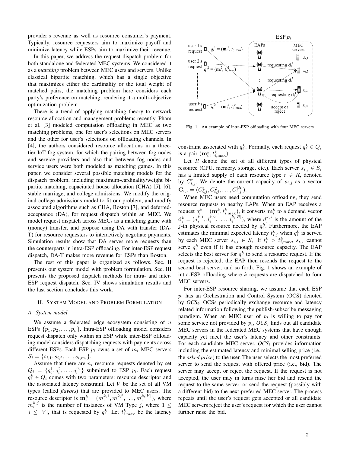provider's revenue as well as resource consumer's payment. Typically, resource requesters aim to maximize payoff and minimize latency while ESPs aim to maximize their revenue.

In this paper, we address the request dispatch problem for both standalone and federated MEC systems. We considered it as a *matching* problem between MEC users and servers. Unlike classical bipartite matching, which has a single objective that maximizes either the cardinality or the total weight of matched pairs, the matching problem here considers each party's preference on matching, rendering it a multi-objective optimization problem.

There is a trend of applying matching theory to network resource allocation and management problems recently. Pham et al. [3] modeled computation offloading in MEC as two matching problems, one for user's selections on MEC servers and the other for user's selections on offloading channels. In [4], the authors considered resource allocations in a threetier IoT fog system, for which the pairing between fog nodes and service providers and also that between fog nodes and service users were both modeled as matching games. In this paper, we consider several possible matching models for the dispatch problem, including maximum-cardinality/weight bipartite matching, capacitated house allocation (CHA) [5], [6], stable marriage, and college admissions. We modify the original college admissions model to fit our problem, and modify associated algorithms such as CHA, Boston [7], and deferredacceptance (DA), for request dispatch within an MEC. We model request dispatch across MECs as a matching game with (money) transfer, and propose using DA with transfer (DA-T) for resource requesters to interactively negotiate payments. Simulation results show that DA serves more requests than the counterparts in intra-ESP offloading. For inter-ESP request dispatch, DA-T makes more revenue for ESPs than Boston.

The rest of this paper is organized as follows. Sec. II presents our system model with problem formulation. Sec. III presents the proposed dispatch methods for intra- and inter-ESP request dispatch. Sec. IV shows simulation results and the last section concludes this work.

#### II. SYSTEM MODEL AND PROBLEM FORMULATION

#### *A. System model*

We assume a federated edge ecosystem consisting of  $n$ ESPs  $\{p_1, p_2, \ldots, p_n\}$ . Intra-ESP offloading model considers request dispatch only within an ESP while inter-ESP offloading model considers dispatching requests with payments across different ESPs. Each ESP  $p_i$  owns a set of  $m_i$  MEC servers  $S_i = \{s_{i,1}, s_{i,2}, \ldots, s_{i,m_i}\}.$ 

Assume that there are  $n_i$  resource requests denoted by set  $Q_i = \{q_i^1, q_i^2, \dots, q_i^{n_i}\}\$  submitted to ESP  $p_i$ . Each request  $q_i^k \in Q_i$  comes with two parameters: resource descriptor and the associated latency constraint. Let  $V$  be the set of all VM types (called *flavors*) that are provided to MEC users. The resource descriptor is  $\mathbf{m}_i^k = (m_i^{k,1}, m_i^{k,2}, \dots, m_i^{k,|V|})$ , where  $m_i^{k,j}$  is the number of instances of VM Type j, where  $1 \leq$  $j \leq |V|$ , that is requested by  $q_i^k$ . Let  $t_{i,\text{max}}^k$  be the latency



Fig. 1. An example of intra-ESP offloading with four MEC servers

constraint associated with  $q_i^k$ . Formally, each request  $q_i^k \in Q_i$ is a pair  $(\mathbf{m}_i^k,t_{i,\max}^k)$ .

Let  $R$  denote the set of all different types of physical resource (CPU, memory, storage, etc.). Each server  $s_{i,j} \in S_i$ has a limited supply of each resource type  $r \in R$ , denoted by  $C_{i,j}^r$ . We denote the current capacity of  $s_{i,j}$  as a vector  $\mathbf{C}_{i,j} = (C_{i,j}^1, C_{i,j}^2, \ldots, C_{i,j}^{|R|}).$ 

When MEC users need computation offloading, they send resource requests to nearby EAPs. When an EAP receives a request  $q_i^k = (\mathbf{m}_i^k, t_{i, \max}^k)$ , it converts  $\mathbf{m}_i^k$  to a demand vector  $\mathbf{d}_i^k = (d_i^{k,1}, d_i^{k,2}, \dots, d_i^{k,|R|}),$  where  $d_i^{k,j}$  is the amount of the j-th physical resource needed by  $q_i^k$ . Furthermore, the EAP estimates the minimal expected latency  $t_{i,j}^k$  when  $q_i^k$  is served by each MEC server  $s_{i,j} \in S_i$ . If  $t_i^k > t_{i,\text{max}}^k$ ,  $s_{i,j}$  cannot serve  $q_i^k$  even if it has enough resource capacity. The EAP selects the best server for  $q_i^k$  to send a resource request. If the request is rejected, the EAP then resends the request to the second best server, and so forth. Fig. 1 shows an example of intra-ESP offloading where  $k$  requests are dispatched to four MEC servers.

For inter-ESP resource sharing, we assume that each ESP  $p_i$  has an Orchestration and Control System (OCS) denoted by *OCS*<sub>i</sub>. OCSs periodically exchange resource and latency related information following the publish-subscribe messaging paradigm. When an MEC user of  $p_i$  is willing to pay for some service not provided by  $p_i$ ,  $OCS_i$  finds out all candidate MEC servers in the federated MEC systems that have enough capacity yet meet the user's latency and other constraints. For each candidate MEC server, *OCS<sub>i</sub>* provides information including the estimated latency and minimal selling price (i.e., the *asked price*) to the user. The user selects the most preferred server to send the request with offered price (i.e., bid). The server may accept or reject the request. If the request is not accepted, the user may in turns raise her bid and resend the request to the same server, or send the request (possibly with a different bid) to the next preferred MEC server. The process repeats until the user's request gets accepted or all candidate MEC servers reject the user's request for which the user cannot further raise the bid.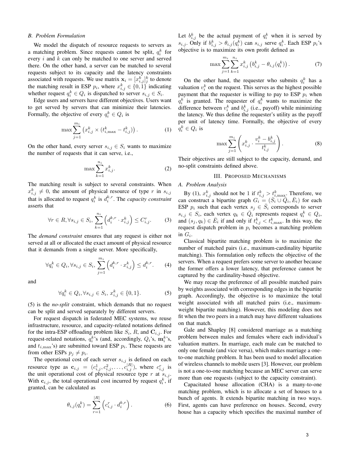#### *B. Problem Formulation*

We model the dispatch of resource requests to servers as a matching problem. Since requests cannot be split,  $q_i^k$  for every i and k can only be matched to one server and served there. On the other hand, a server can be matched to several requests subject to its capacity and the latency constraints associated with requests. We use matrix  $\mathbf{x}_i = [x_{i,j}^k]_j^k$  to denote the matching result in ESP  $p_i$ , where  $x_{i,j}^k \in \{0, 1\}$  indicating whether request  $q_i^k \in Q_i$  is dispatched to server  $s_{i,j} \in S_i$ .

Edge users and servers have different objectives. Users want to get served by servers that can minimize their latencies. Formally, the objective of every  $q_i^k \in Q_i$  is

$$
\max \sum_{j=1}^{m_i} (x_{i,j}^k \times (t_{i,\max}^k - t_{i,j}^k)).
$$
 (1)

On the other hand, every server  $s_{i,j} \in S_i$  wants to maximize the number of requests that it can serve, i.e.,

$$
\max \sum_{k=1}^{n_i} x_{i,j}^k.
$$
 (2)

The matching result is subject to several constraints. When  $x_{i,j}^k \neq 0$ , the amount of physical resource of type r in  $s_{i,j}$ that is allocated to request  $q_i^k$  is  $d_i^{k,r}$ . The *capacity constraint* asserts that

$$
\forall r \in R, \forall s_{i,j} \in S_i, \sum_{k=1}^{n_i} \left( d_i^{k,r} \cdot x_{i,j}^k \right) \le C_{i,j}^r. \tag{3}
$$

The *demand constraint* ensures that any request is either not served at all or allocated the exact amount of physical resource that it demands from a single server. More specifically,

$$
\forall q_i^k \in Q_i, \forall s_{i,j} \in S_i, \sum_{j=1}^{m_i} \left( d_i^{k,r} \cdot x_{i,j}^k \right) \leq d_i^{k,r}.\tag{4}
$$

and

$$
\forall q_i^k \in Q_i, \forall s_{i,j} \in S_i, x_{i,j}^k \in \{0, 1\}.
$$
 (5)

(5) is the *no-split* constraint, which demands that no request can be split and served separately by different servers.

For request dispatch in federated MEC systems, we reuse infrastructure, resource, and capacity-related notations defined for the intra-ESP offloading problem like  $S_i$ , R, and  $\mathbf{C}_{i,j}$ . For request-related notations,  $q_i^k$ 's (and, accordingly,  $Q_i$ 's,  $\mathbf{m}_i^k$ 's, and  $t_{i, \text{max}}$ 's) are submitted toward ESP  $p_i$ . These requests are from other ESPs  $p_j \neq p_i$ .

The operational cost of each server  $s_{i,j}$  is defined on each resource type as  $\mathbf{c}_{i,j} = (c_{i,j}^1, c_{i,j}^2, \ldots, c_{i,j}^{|R|})$ , where  $c_{i,j}^r$  is the unit operational cost of physical resource type  $r$  at  $s_{i,j}$ . With  $c_{i,j}$ , the total operational cost incurred by request  $q_i^k$ , if granted, can be calculated as

$$
\theta_{i,j}(q_i^k) = \sum_{r=1}^{|R|} \left( c_{i,j}^r \cdot d_i^{k,r} \right).
$$
 (6)

Let  $b_{i,j}^k$  be the actual payment of  $q_i^k$  when it is served by  $s_{i,j}$ . Only if  $b_{i,j}^k > \theta_{i,j}(q_i^k)$  can  $s_{i,j}$  serve  $q_i^k$ . Each ESP  $p_i$ 's objective is to maximize its own profit defined as

$$
\max \sum_{j=1}^{m_i} \sum_{k=1}^{n_i} x_{i,j}^k \left( b_{i,j}^k - \theta_{i,j} (q_i^k) \right). \tag{7}
$$

On the other hand, the requester who submits  $q_i^k$  has a valuation  $v_i^k$  on the request. This serves as the highest possible payment that the requester is willing to pay to ESP  $p_i$  when  $q_i^k$  is granted. The requester of  $q_i^k$  wants to maximize the difference between  $v_i^k$  and  $b_{i,j}^k$  (i.e., payoff) while minimizing the latency. We thus define the requester's utility as the payoff per unit of latency time. Formally, the objective of every  $q_i^k \in Q_i$  is

$$
\max \sum_{j=1}^{m_i} \left( x_{i,j}^k \cdot \frac{v_i^k - b_{i,j}^k}{t_{i,j}^k} \right). \tag{8}
$$

Their objectives are still subject to the capacity, demand, and no-split constraints defined above.

#### III. PROPOSED MECHANISMS

# *A. Problem Analysis*

By (1),  $x_{i,j}^k$  should not be 1 if  $t_{i,j}^k > t_{i,\text{max}}^k$ . Therefore, we can construct a bipartite graph  $G_i = (\bar{S}_i \cup \bar{Q}_i, \bar{E}_i)$  for each ESP  $p_i$  such that each vertex  $s_j \in \overline{S}_i$  corresponds to server  $s_{i,j} \in S_i$ , each vertex  $q_k \in \overline{Q}_i$  represents request  $q_i^k \in Q_i$ , and  $(s_j, q_k) \in \overline{E}_i$  if and only if  $t_{i,j}^k < t_{i,\text{max}}^k$ . In this way, the request dispatch problem in  $p_i$  becomes a matching problem in  $G_i$ .

Classical bipartite matching problem is to maximize the number of matched pairs (i.e., maximum-cardinality bipartite matching). This formulation only reflects the objective of the servers. When a request prefers some server to another because the former offers a lower latency, that preference cannot be captured by the cardinality-based objective.

We may recap the preference of all possible matched pairs by weights associated with corresponding edges in the bipartite graph. Accordingly, the objective is to maximize the total weight associated with all matched pairs (i.e., maximumweight bipartite matching). However, this modeling does not fit when the two peers in a match may have different valuations on that match.

Gale and Shapley [8] considered marriage as a matching problem between males and females where each individual's valuation matters. In marriage, each male can be matched to only one female (and vice versa), which makes marriage a oneto-one matching problem. It has been used to model allocation of wireless channels to mobile users [3]. However, our problem is not a one-to-one matching because an MEC server can serve more than one requests (subject to the capacity constraint).

Capacitated house allocation (CHA) is a many-to-one matching problem, which is to allocate a set of houses to a bunch of agents. It extends bipartite matching in two ways. First, agents can have preference on houses. Second, every house has a capacity which specifies the maximal number of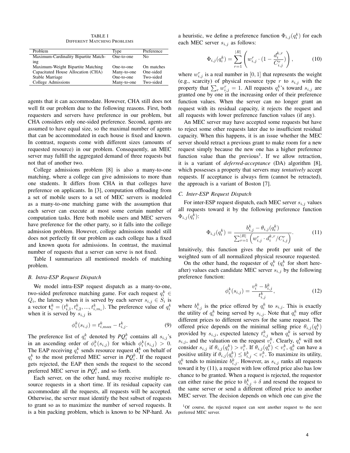TABLE I DIFFERENT MATCHING PROBLEMS

| <b>Problem</b>                       | Type        | Preference |
|--------------------------------------|-------------|------------|
| Maximum-Cardinality Bipartite Match- | One-to-one  | Nο         |
| ing                                  |             |            |
| Maximum-Weight Bipartite Matching    | One-to-one  | On matches |
| Capacitated House Allocation (CHA)   | Many-to-one | One-sided  |
| Stable Marriage                      | One-to-one  | Two-sided  |
| College Admissions                   | Many-to-one | Two-sided  |

agents that it can accommodate. However, CHA still does not well fit our problem due to the following reasons. First, both requesters and servers have preference in our problem, but CHA considers only one-sided preference. Second, agents are assumed to have equal size, so the maximal number of agents that can be accommodated in each house is fixed and known. In contrast, requests come with different sizes (amounts of requested resource) in our problem. Consequently, an MEC server may fulfill the aggregated demand of three requests but not that of another two.

College admissions problem [8] is also a many-to-one matching, where a college can give admissions to more than one students. It differs from CHA in that colleges have preference on applicants. In [3], computation offloading from a set of mobile users to a set of MEC servers is modeled as a many-to-one matching game with the assumption that each server can execute at most some certain number of computation tasks. Here both mobile users and MEC servers have preference for the other party, so it falls into the college admission problem. However, college admissions model still does not perfectly fit our problem as each college has a fixed and known quota for admissions. In contrast, the maximal number of requests that a server can serve is not fixed.

Table I summarizes all mentioned models of matching problem.

#### *B. Intra-ESP Request Dispatch*

We model intra-ESP request dispatch as a many-to-one, two-sided preference matching game. For each request  $q_i^k$   $\in$  $Q_i$ , the latency when it is served by each server  $s_{i,j} \in S_i$  is a vector  $\mathbf{t}_i^k = (t_{i,1}^k, t_{i,2}^k, ..., t_{i,m_i}^k)$ . The preference value of  $q_i^k$ when it is served by  $s_{i,j}$  is

$$
\phi_i^k(s_{i,j}) = t_{i,\text{max}}^k - t_{i,j}^k.
$$
\n(9)

The preference list of  $q_i^k$  denoted by  $PQ_i^k$  contains all  $s_{i,j}$ 's in an ascending order of  $\phi_i^k(s_{i,j})$  for which  $\phi_i^k(s_{i,j}) > 0$ . The EAP receiving  $q_i^k$  sends resource request  $\mathbf{d}_i^k$  on behalf of  $q_i^k$  to the most preferred MEC server in  $PQ_i^k$ . If the request gets rejected, the EAP then sends the request to the second preferred MEC server in  $PQ_i^k$ , and so forth.

Each server, on the other hand, may receive multiple resource requests in a short time. If its residual capacity can accommodate all the requests, all requests will be accepted. Otherwise, the server must identify the best subset of requests to grant so as to maximize the number of served requests. It is a bin packing problem, which is known to be NP-hard. As

a heuristic, we define a preference function  $\Phi_{i,j}(q_i^k)$  for each each MEC server  $s_{i,j}$  as follows:

$$
\Phi_{i,j}(q_i^k) = \sum_{r=1}^{|R|} \left( w_{i,j}^r \cdot (1 - \frac{d_i^{k,r}}{C_{i,j}^r}) \right), \tag{10}
$$

where  $w_{i,j}^r$  is a real number in [0, 1] that represents the weight (e.g., scarcity) of physical resource type r to  $s_{i,j}$  with the property that  $\sum_{r} w_{i,j}^r = 1$ . All requests  $q_i^k$ 's toward  $s_{i,j}$  are granted one by one in the increasing order of their preference function values. When the server can no longer grant an request with its residual capacity, it rejects the request and all requests with lower preference function values (if any).

An MEC server may have accepted some requests but have to reject some other requests later due to insufficient residual capacity. When this happens, it is an issue whether the MEC server should retract a previous grant to make room for a new request simply because the new one has a higher preference function value than the previous<sup>1</sup>. If we allow retraction, it is a variant of *deferred-acceptance* (DA) algorithm [8], which possesses a property that servers may *tentatively* accept requests. If acceptance is always firm (cannot be retracted), the approach is a variant of Boston [7].

# *C. Inter-ESP Request Dispatch*

For inter-ESP request dispatch, each MEC server  $s_{i,j}$  values all requests toward it by the following preference function  $\Phi_{i,j}(q_i^k)$ :

$$
\Phi_{i,j}(q_i^k) = \frac{b_{i,j}^k - \theta_{i,j}(q_i^k)}{\sum_{r=1}^{|R|} \left(w_{i,j}^r \cdot d_i^{k,r}/C_{i,j}^r\right)}.
$$
\n(11)

Intuitively, this function gives the profit per unit of the weighted sum of all normalized physical resource requested.

On the other hand, the requester of  $q_i^k$  ( $q_i^k$  for short hereafter) values each candidate MEC server  $s_{i,j}$  by the following preference function:

$$
\phi_i^k(s_{i,j}) = \frac{v_i^k - b_{i,j}^k}{t_{i,j}^k},\tag{12}
$$

where  $b_{i,j}^k$  is the price offered by  $q_i^k$  to  $s_{i,j}$ . This is exactly the utility of  $q_i^k$  being served by  $s_{i,j}$ . Note that  $q_i^k$  may offer different prices to different servers for the same request. The offered price depends on the minimal selling price  $\theta_{i,j}(q_i^k)$ provided by  $s_{i,j}$ , expected latency  $t_{i,j}^k$  when  $q_i^k$  is served by  $s_{i,j}$ , and the valuation on the request  $v_i^k$ . Clearly,  $q_i^k$  will not consider  $s_{i,j}$  if  $\theta_{i,j}(q_i^k) > v_i^k$ . If  $\theta_{i,j}(q_i^k) < v_i^k$ ,  $q_i^k$  can have a positive utility if  $\hat{\theta}_{i,j}(q_i^k) \leq b_{i,j}^k < v_i^k$ . To maximize its utility,  $q_i^k$  tends to minimize  $b_{i,j}^k$ . However, as  $s_{i,j}$  ranks all requests toward it by (11), a request with low offered price also has low chance to be granted. When a request is rejected, the requestor can either raise the price to  $b_{i,j}^k + \delta$  and resend the request to the same server or send a different offered price to another MEC server. The decision depends on which one can give the

<sup>&</sup>lt;sup>1</sup>Of course, the rejected request can sent another request to the next preferred MEC server.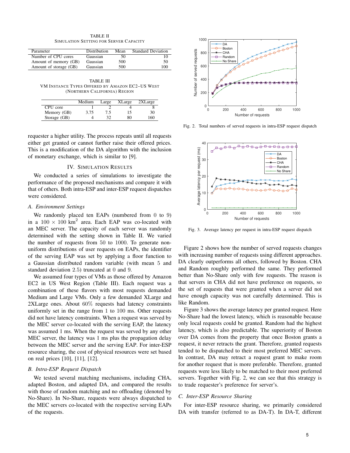TABLE II SIMULATION SETTING FOR SERVER CAPACITY

| Parameter              | <b>Distribution</b> | Mean | <b>Standard Deviation</b> |
|------------------------|---------------------|------|---------------------------|
| Number of CPU cores    | Gaussian            | 50   | 10                        |
| Amount of memory (GB)  | Gaussian            | 500  | 50                        |
| Amount of storage (GB) | Gaussian            | 500  | 100                       |

TABLE III VM INSTANCE TYPES OFFERED BY AMAZON EC2–US WEST (NORTHERN CALIFORNIA) REGION

|              | Medium | Large | <b>XLarge</b> | 2XLarge |
|--------------|--------|-------|---------------|---------|
| CPU core     |        |       |               |         |
| Memory (GB)  | 3.75   | 7.5   | 15            | 30      |
| Storage (GB) |        | 20    | 80            | 160     |

requester a higher utility. The process repeats until all requests either get granted or cannot further raise their offered prices. This is a modification of the DA algorithm with the inclusion of monetary exchange, which is similar to [9].

#### IV. SIMULATION RESULTS

We conducted a series of simulations to investigate the performance of the proposed mechanisms and compare it with that of others. Both intra-ESP and inter-ESP request dispatches were considered.

# *A. Environment Settings*

We randomly placed ten EAPs (numbered from 0 to 9) in a  $100 \times 100$  km<sup>2</sup> area. Each EAP was co-located with an MEC server. The capacity of each server was randomly determined with the setting shown in Table II. We varied the number of requests from 50 to 1000. To generate nonuniform distributions of user requests on EAPs, the identifier of the serving EAP was set by applying a floor function to a Gaussian distributed random variable (with mean 5 and standard deviation 2.5) truncated at 0 and 9.

We assumed four types of VMs as those offered by Amazon EC2 in US West Region (Table III). Each request was a combination of these flavors with most requests demanded Medium and Large VMs. Only a few demanded XLarge and 2XLarge ones. About 60% requests had latency constraints uniformly set in the range from 1 to 100 ms. Other requests did not have latency constraints. When a request was served by the MEC server co-located with the serving EAP, the latency was assumed 1 ms. When the request was served by any other MEC server, the latency was 1 ms plus the propagation delay between the MEC server and the serving EAP. For inter-ESP resource sharing, the cost of physical resources were set based on real prices [10], [11], [12].

# *B. Intra-ESP Request Dispatch*

We tested several matching mechanisms, including CHA, adapted Boston, and adapted DA, and compared the results with those of random matching and no offloading (denoted by No-Share). In No-Share, requests were always dispatched to the MEC servers co-located with the respective serving EAPs of the requests.



Fig. 2. Total numbers of served requests in intra-ESP request dispatch



Fig. 3. Average latency per request in intra-ESP request dispatch

Figure 2 shows how the number of served requests changes with increasing number of requests using different approaches. DA clearly outperforms all others, followed by Boston. CHA and Random roughly performed the same. They performed better than No-Share only with few requests. The reason is that servers in CHA did not have preference on requests, so the set of requests that were granted when a server did not have enough capacity was not carefully determined. This is like Random.

Figure 3 shows the average latency per granted request. Here No-Share had the lowest latency, which is reasonable because only local requests could be granted. Random had the highest latency, which is also predictable. The superiority of Boston over DA comes from the property that once Boston grants a request, it never retracts the grant. Therefore, granted requests tended to be dispatched to their most preferred MEC servers. In contrast, DA may retract a request grant to make room for another request that is more preferable. Therefore, granted requests were less likely to be matched to their most preferred servers. Together with Fig. 2, we can see that this strategy is to trade requester's preference for server's.

# *C. Inter-ESP Resource Sharing*

For inter-ESP resource sharing, we primarily considered DA with transfer (referred to as DA-T). In DA-T, different